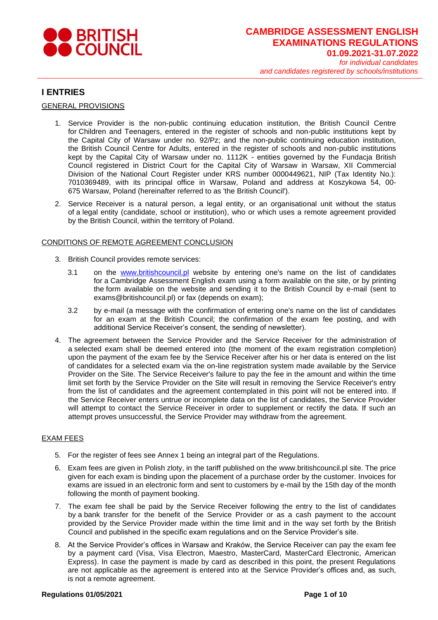

## **I ENTRIES**

GENERAL PROVISIONS

- 1. Service Provider is the non-public continuing education institution, the British Council Centre for Children and Teenagers, entered in the register of schools and non-public institutions kept by the Capital City of Warsaw under no. 92/Pz; and the non-public continuing education institution, the British Council Centre for Adults, entered in the register of schools and non-public institutions kept by the Capital City of Warsaw under no. 1112K - entities governed by the Fundacja British Council registered in District Court for the Capital City of Warsaw in Warsaw, XII Commercial Division of the National Court Register under KRS number 0000449621, NIP (Tax Identity No.): 7010369489, with its principal office in Warsaw, Poland and address at Koszykowa 54, 00- 675 Warsaw, Poland (hereinafter referred to as 'the British Council').
- 2. Service Receiver is a natural person, a legal entity, or an organisational unit without the status of a legal entity (candidate, school or institution), who or which uses a remote agreement provided by the British Council, within the territory of Poland.

### CONDITIONS OF REMOTE AGREEMENT CONCLUSION

- 3. British Council provides remote services:
	- 3.1 on the [www.britishcouncil.pl](http://www.britishcouncil.pl/) website by entering one's name on the list of candidates for a Cambridge Assessment English exam using a form available on the site, or by printing the form available on the website and sending it to the British Council by e-mail (sent to [exams@britishcouncil.pl\)](mailto:exams@britishcouncil.pl) or fax (depends on exam);
	- 3.2 by e-mail (a message with the confirmation of entering one's name on the list of candidates for an exam at the British Council; the confirmation of the exam fee posting, and with additional Service Receiver's consent, the sending of newsletter).
- 4. The agreement between the Service Provider and the Service Receiver for the administration of a selected exam shall be deemed entered into (the moment of the exam registration completion) upon the payment of the exam fee by the Service Receiver after his or her data is entered on the list of candidates for a selected exam via the on-line registration system made available by the Service Provider on the Site. The Service Receiver's failure to pay the fee in the amount and within the time limit set forth by the Service Provider on the Site will result in removing the Service Receiver's entry from the list of candidates and the agreement contemplated in this point will not be entered into. If the Service Receiver enters untrue or incomplete data on the list of candidates, the Service Provider will attempt to contact the Service Receiver in order to supplement or rectify the data. If such an attempt proves unsuccessful, the Service Provider may withdraw from the agreement.

#### EXAM FEES

- 5. For the register of fees see Annex 1 being an integral part of the Regulations.
- 6. Exam fees are given in Polish zloty, in the tariff published on the [www.britishcouncil.pl](http://www.britishcouncil.pl/) site. The price given for each exam is binding upon the placement of a purchase order by the customer. Invoices for exams are issued in an electronic form and sent to customers by e-mail by the 15th day of the month following the month of payment booking.
- 7. The exam fee shall be paid by the Service Receiver following the entry to the list of candidates by a bank transfer for the benefit of the Service Provider or as a cash payment to the account provided by the Service Provider made within the time limit and in the way set forth by the British Council and published in the specific exam regulations and on the Service Provider's site.
- 8. At the Service Provider's offices in Warsaw and Kraków, the Service Receiver can pay the exam fee by a payment card (Visa, Visa Electron, Maestro, MasterCard, MasterCard Electronic, American Express). In case the payment is made by card as described in this point, the present Regulations are not applicable as the agreement is entered into at the Service Provider's offices and, as such, is not a remote agreement.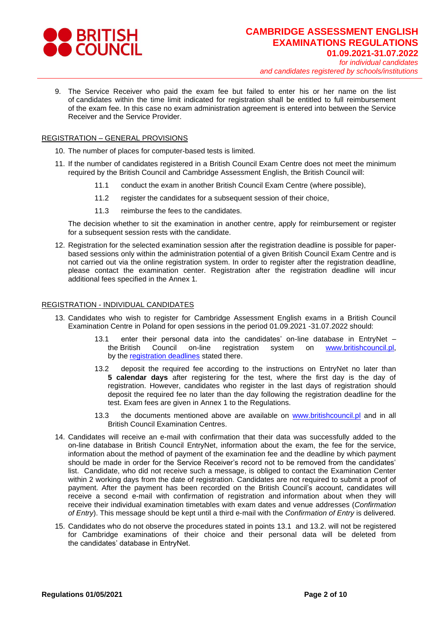

9. The Service Receiver who paid the exam fee but failed to enter his or her name on the list of candidates within the time limit indicated for registration shall be entitled to full reimbursement of the exam fee. In this case no exam administration agreement is entered into between the Service Receiver and the Service Provider.

#### REGISTRATION – GENERAL PROVISIONS

- 10. The number of places for computer-based tests is limited.
- 11. If the number of candidates registered in a British Council Exam Centre does not meet the minimum required by the British Council and Cambridge Assessment English, the British Council will:
	- 11.1 conduct the exam in another British Council Exam Centre (where possible),
	- 11.2 register the candidates for a subsequent session of their choice,
	- 11.3 reimburse the fees to the candidates.

The decision whether to sit the examination in another centre, apply for reimbursement or register for a subsequent session rests with the candidate.

12. Registration for the selected examination session after the registration deadline is possible for paperbased sessions only within the administration potential of a given British Council Exam Centre and is not carried out via the online registration system. In order to register after the registration deadline, please contact the examination center. Registration after the registration deadline will incur additional fees specified in the Annex 1*.*

#### REGISTRATION - INDIVIDUAL CANDIDATES

- 13. Candidates who wish to register for Cambridge Assessment English exams in a British Council Examination Centre in Poland for open sessions in the period 01.09.2021 -31.07.2022 should:
	- 13.1 enter their personal data into the candidates' on-line database in EntryNet the British Council on-line registration system on [www.britishcouncil.pl,](http://www.britishcouncil.pl/) by the [registration deadlines](http://examfinder.britishcouncil.pl/) stated there.
	- 13.2 deposit the required fee according to the instructions on EntryNet no later than **5 calendar days** after registering for the test, where the first day is the day of registration. However, candidates who register in the last days of registration should deposit the required fee no later than the day following the registration deadline for the test. Exam fees are given in Annex 1 to the Regulations.
	- 13.3 the documents mentioned above are available on [www.britishcouncil.pl](http://www.britishcouncil.pl/) and in all British Council Examination Centres.
- 14. Candidates will receive an e-mail with confirmation that their data was successfully added to the on-line database in British Council EntryNet, information about the exam, the fee for the service, information about the method of payment of the examination fee and the deadline by which payment should be made in order for the Service Receiver's record not to be removed from the candidates' list. Candidate, who did not receive such a message, is obliged to contact the Examination Center within 2 working days from the date of registration. Candidates are not required to submit a proof of payment. After the payment has been recorded on the British Council's account, candidates will receive a second e-mail with confirmation of registration and information about when they will receive their individual examination timetables with exam dates and venue addresses (*Confirmation of Entry*). This message should be kept until a third e-mail with the *Confirmation of Entry* is delivered.
- 15. Candidates who do not observe the procedures stated in points 13.1 and 13.2. will not be registered for Cambridge examinations of their choice and their personal data will be deleted from the candidates' database in EntryNet.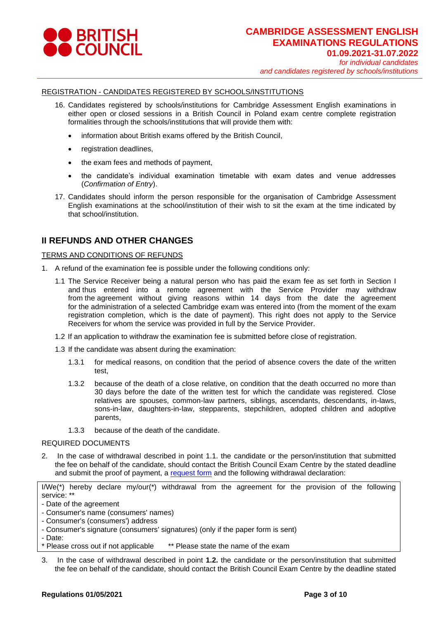

## REGISTRATION - CANDIDATES REGISTERED BY SCHOOLS/INSTITUTIONS

- 16. Candidates registered by schools/institutions for Cambridge Assessment English examinations in either open or closed sessions in a British Council in Poland exam centre complete registration formalities through the schools/institutions that will provide them with:
	- information about British exams offered by the British Council,
	- registration deadlines,
	- the exam fees and methods of payment,
	- the candidate's individual examination timetable with exam dates and venue addresses (*Confirmation of Entry*).
- 17. Candidates should inform the person responsible for the organisation of Cambridge Assessment English examinations at the school/institution of their wish to sit the exam at the time indicated by that school/institution.

# **II REFUNDS AND OTHER CHANGES**

## TERMS AND CONDITIONS OF REFUNDS

- 1. A refund of the examination fee is possible under the following conditions only:
	- 1.1 The Service Receiver being a natural person who has paid the exam fee as set forth in Section I and thus entered into a remote agreement with the Service Provider may withdraw from the agreement without giving reasons within 14 days from the date the agreement for the administration of a selected Cambridge exam was entered into (from the moment of the exam registration completion, which is the date of payment). This right does not apply to the Service Receivers for whom the service was provided in full by the Service Provider.
	- 1.2 If an application to withdraw the examination fee is submitted before close of registration.
	- 1.3 If the candidate was absent during the examination:
		- 1.3.1 for medical reasons, on condition that the period of absence covers the date of the written test,
		- 1.3.2 because of the death of a close relative, on condition that the death occurred no more than 30 days before the date of the written test for which the candidate was registered. Close relatives are spouses, common-law partners, siblings, ascendants, descendants, in-laws, sons-in-law, daughters-in-law, stepparents, stepchildren, adopted children and adoptive parents,
		- 1.3.3 because of the death of the candidate.

#### REQUIRED DOCUMENTS

2. In the case of withdrawal described in point 1.1. the candidate or the person/institution that submitted the fee on behalf of the candidate, should contact the British Council Exam Centre by the stated deadline and submit the proof of payment, a [request form](https://www.britishcouncil.pl/sites/default/files/refund_form_2022_cambridge_ep_final.pdf) and the following withdrawal declaration:

I/We(\*) hereby declare my/our(\*) withdrawal from the agreement for the provision of the following service: \*\*

- Consumer's name (consumers' names)
- Consumer's (consumers') address
- Consumer's signature (consumers' signatures) (only if the paper form is sent)
- Date:
- \* Please cross out if not applicable \*\* Please state the name of the exam
- 3. In the case of withdrawal described in point **1.2.** the candidate or the person/institution that submitted the fee on behalf of the candidate, should contact the British Council Exam Centre by the deadline stated

<sup>-</sup> Date of the agreement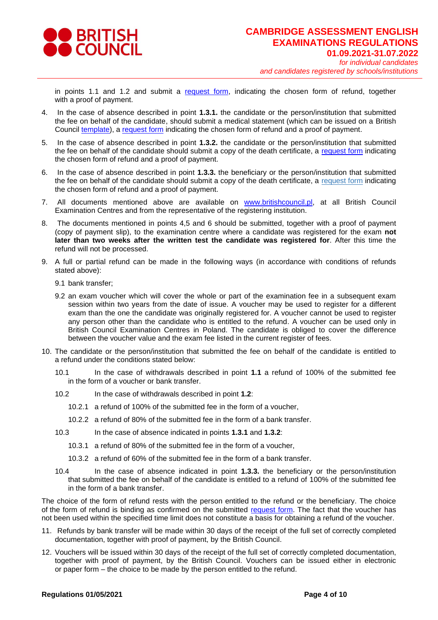

in points 1.1 and 1.2 and submit a [request form,](https://www.britishcouncil.pl/sites/default/files/refund_form_2022_cambridge_ep_final.pdf) indicating the chosen form of refund, together with a proof of payment.

- 4. In the case of absence described in point **1.3.1.** the candidate or the person/institution that submitted the fee on behalf of the candidate, should submit a medical statement (which can be issued on a British Council [template\)](https://www.britishcouncil.pl/sites/default/files/zwolnienie_lekarskie_medical_certificate_2021_pl_gb_ep_final.pdf), a [request form](https://www.britishcouncil.pl/sites/default/files/refund_form_2022_cambridge_ep_final.pdf) indicating the chosen form of refund and a proof of payment.
- 5. In the case of absence described in point **1.3.2.** the candidate or the person/institution that submitted the fee on behalf of the candidate should submit a copy of the death certificate, a [request form](https://www.britishcouncil.pl/sites/default/files/refund_form_2022_cambridge_ep_final.pdf) indicating the chosen form of refund and a proof of payment.
- 6. In the case of absence described in point **1.3.3.** the beneficiary or the person/institution that submitted the fee on behalf of the candidate should submit a copy of the death certificate, a [request form](https://www.britishcouncil.pl/sites/default/files/refund_form_2022_cambridge_ep_final.pdf) indicating the chosen form of refund and a proof of payment.
- 7. All documents mentioned above are available on [www.britishcouncil.pl,](http://www.britishcouncil.pl/) at all British Council Examination Centres and from the representative of the registering institution.
- 8. The documents mentioned in points 4,5 and 6 should be submitted, together with a proof of payment (copy of payment slip), to the examination centre where a candidate was registered for the exam **not later than two weeks after the written test the candidate was registered for**. After this time the refund will not be processed.
- 9. A full or partial refund can be made in the following ways (in accordance with conditions of refunds stated above):
	- 9.1 bank transfer;
	- 9.2 an exam voucher which will cover the whole or part of the examination fee in a subsequent exam session within two years from the date of issue. A voucher may be used to register for a different exam than the one the candidate was originally registered for. A voucher cannot be used to register any person other than the candidate who is entitled to the refund. A voucher can be used only in British Council Examination Centres in Poland. The candidate is obliged to cover the difference between the voucher value and the exam fee listed in the current register of fees.
- 10. The candidate or the person/institution that submitted the fee on behalf of the candidate is entitled to a refund under the conditions stated below:
	- 10.1 In the case of withdrawals described in point **1.1** a refund of 100% of the submitted fee in the form of a voucher or bank transfer.
	- 10.2 In the case of withdrawals described in point **1.2**:
		- 10.2.1 a refund of 100% of the submitted fee in the form of a voucher,
		- 10.2.2 a refund of 80% of the submitted fee in the form of a bank transfer.
	- 10.3 In the case of absence indicated in points **1.3.1** and **1.3.2**:
		- 10.3.1 a refund of 80% of the submitted fee in the form of a voucher,
		- 10.3.2 a refund of 60% of the submitted fee in the form of a bank transfer.
	- 10.4 In the case of absence indicated in point **1.3.3.** the beneficiary or the person/institution that submitted the fee on behalf of the candidate is entitled to a refund of 100% of the submitted fee in the form of a bank transfer.

The choice of the form of refund rests with the person entitled to the refund or the beneficiary. The choice of the form of refund is binding as confirmed on the submitted [request form.](https://www.britishcouncil.pl/sites/default/files/refund_form_2022_cambridge_ep_final.pdf) The fact that the voucher has not been used within the specified time limit does not constitute a basis for obtaining a refund of the voucher.

- 11. Refunds by bank transfer will be made within 30 days of the receipt of the full set of correctly completed documentation, together with proof of payment, by the British Council.
- 12. Vouchers will be issued within 30 days of the receipt of the full set of correctly completed documentation, together with proof of payment, by the British Council. Vouchers can be issued either in electronic or paper form – the choice to be made by the person entitled to the refund.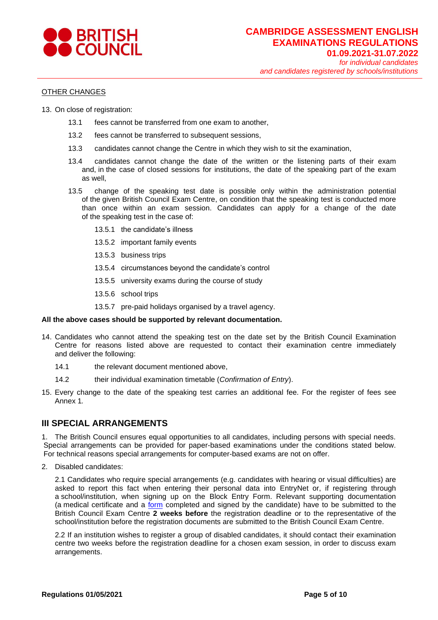

### OTHER CHANGES

- 13. On close of registration:
	- 13.1 fees cannot be transferred from one exam to another,
	- 13.2 fees cannot be transferred to subsequent sessions,
	- 13.3 candidates cannot change the Centre in which they wish to sit the examination,
	- 13.4 candidates cannot change the date of the written or the listening parts of their exam and, in the case of closed sessions for institutions, the date of the speaking part of the exam as well,
	- 13.5 change of the speaking test date is possible only within the administration potential of the given British Council Exam Centre, on condition that the speaking test is conducted more than once within an exam session. Candidates can apply for a change of the date of the speaking test in the case of:
		- 13.5.1 the candidate's illness
		- 13.5.2 important family events
		- 13.5.3 business trips
		- 13.5.4 circumstances beyond the candidate's control
		- 13.5.5 university exams during the course of study
		- 13.5.6 school trips
		- 13.5.7 pre-paid holidays organised by a travel agency.

#### **All the above cases should be supported by relevant documentation.**

- 14. Candidates who cannot attend the speaking test on the date set by the British Council Examination Centre for reasons listed above are requested to contact their examination centre immediately and deliver the following:
	- 14.1 the relevant document mentioned above,
	- 14.2 their individual examination timetable (*Confirmation of Entry*).
- 15. Every change to the date of the speaking test carries an additional fee. For the register of fees see Annex 1*.*

# **III SPECIAL ARRANGEMENTS**

1. The British Council ensures equal opportunities to all candidates, including persons with special needs. Special arrangements can be provided for paper-based examinations under the conditions stated below. For technical reasons special arrangements for computer-based exams are not on offer.

2. Disabled candidates:

2.1 Candidates who require special arrangements (e.g. candidates with hearing or visual difficulties) are asked to report this fact when entering their personal data into EntryNet or, if registering through a school/institution, when signing up on the Block Entry Form. Relevant supporting documentation (a medical certificate and a [form](https://www.britishcouncil.pl/sites/default/files/internal_sa_form_gb_16_09_2020_ep_final.pdf) completed and signed by the candidate) have to be submitted to the British Council Exam Centre **2 weeks before** the registration deadline or to the representative of the school/institution before the registration documents are submitted to the British Council Exam Centre.

2.2 If an institution wishes to register a group of disabled candidates, it should contact their examination centre two weeks before the registration deadline for a chosen exam session, in order to discuss exam arrangements.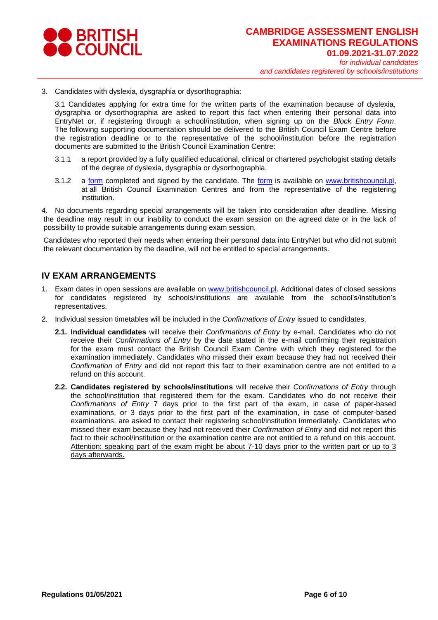

3. Candidates with dyslexia, dysgraphia or dysorthographia:

3.1 Candidates applying for extra time for the written parts of the examination because of dyslexia, dysgraphia or dysorthographia are asked to report this fact when entering their personal data into EntryNet or, if registering through a school/institution, when signing up on the *Block Entry Form*. The following supporting documentation should be delivered to the British Council Exam Centre before the registration deadline or to the representative of the school/institution before the registration documents are submitted to the British Council Examination Centre:

- 3.1.1 a report provided by a fully qualified educational, clinical or chartered psychologist stating details of the degree of dyslexia, dysgraphia or dysorthographia,
- 3.1.2 a [form](https://www.britishcouncil.pl/sites/default/files/internal_sa_form_gb_16_09_2020_ep_final.pdf) completed and signed by the candidate. The form is available on [www.britishcouncil.pl,](http://www.britishcouncil.pl/) at all British Council Examination Centres and from the representative of the registering institution.

4. No documents regarding special arrangements will be taken into consideration after deadline. Missing the deadline may result in our inability to conduct the exam session on the agreed date or in the lack of possibility to provide suitable arrangements during exam session.

Candidates who reported their needs when entering their personal data into EntryNet but who did not submit the relevant documentation by the deadline, will not be entitled to special arrangements.

# **IV EXAM ARRANGEMENTS**

- 1. Exam dates in open sessions are available on [www.britishcouncil.pl.](http://www.britishcouncil.pl/) Additional dates of closed sessions for candidates registered by schools/institutions are available from the school's/institution's representatives.
- 2. Individual session timetables will be included in the *Confirmations of Entry* issued to candidates.
	- **2.1. Individual candidates** will receive their *Confirmations of Entry* by e-mail. Candidates who do not receive their *Confirmations of Entry* by the date stated in the e-mail confirming their registration for the exam must contact the British Council Exam Centre with which they registered for the examination immediately. Candidates who missed their exam because they had not received their *Confirmation of Entry* and did not report this fact to their examination centre are not entitled to a refund on this account.
	- **2.2. Candidates registered by schools/institutions** will receive their *Confirmations of Entry* through the school/institution that registered them for the exam. Candidates who do not receive their *Confirmations of Entry* 7 days prior to the first part of the exam, in case of paper-based examinations, or 3 days prior to the first part of the examination, in case of computer-based examinations, are asked to contact their registering school/institution immediately. Candidates who missed their exam because they had not received their *Confirmation of Entry* and did not report this fact to their school/institution or the examination centre are not entitled to a refund on this account. Attention: speaking part of the exam might be about 7-10 days prior to the written part or up to 3 days afterwards.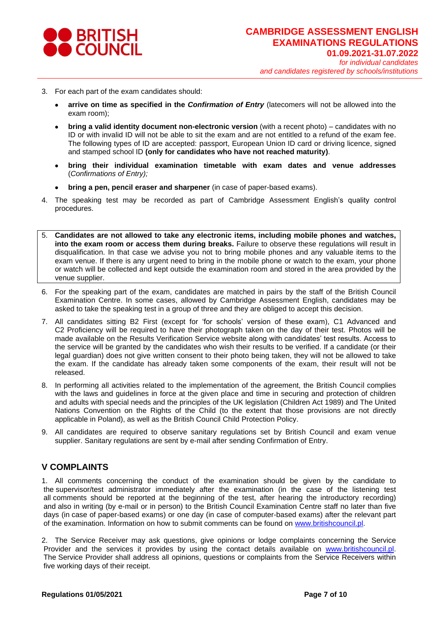

- 3. For each part of the exam candidates should:
	- **arrive on time as specified in the** *Confirmation of Entry* (latecomers will not be allowed into the exam room);
	- **bring a valid identity document non-electronic version** (with a recent photo) candidates with no ID or with invalid ID will not be able to sit the exam and are not entitled to a refund of the exam fee. The following types of ID are accepted: passport, European Union ID card or driving licence, signed and stamped school ID **(only for candidates who have not reached maturity)**.
	- **bring their individual examination timetable with exam dates and venue addresses** (*Confirmations of Entry);*
	- **bring a pen, pencil eraser and sharpener** (in case of paper-based exams).
- 4. The speaking test may be recorded as part of Cambridge Assessment English's quality control procedures.
- 5. **Candidates are not allowed to take any electronic items, including mobile phones and watches, into the exam room or access them during breaks.** Failure to observe these regulations will result in disqualification. In that case we advise you not to bring mobile phones and any valuable items to the exam venue. If there is any urgent need to bring in the mobile phone or watch to the exam, your phone or watch will be collected and kept outside the examination room and stored in the area provided by the venue supplier.
- 6. For the speaking part of the exam, candidates are matched in pairs by the staff of the British Council Examination Centre. In some cases, allowed by Cambridge Assessment English, candidates may be asked to take the speaking test in a group of three and they are obliged to accept this decision.
- 7. All candidates sitting B2 First (except for 'for schools' version of these exam), C1 Advanced and C2 Proficiency will be required to have their photograph taken on the day of their test. Photos will be made available on the Results Verification Service website along with candidates' test results. Access to the service will be granted by the candidates who wish their results to be verified. If a candidate (or their legal guardian) does not give written consent to their photo being taken, they will not be allowed to take the exam. If the candidate has already taken some components of the exam, their result will not be released.
- 8. In performing all activities related to the implementation of the agreement, the British Council complies with the laws and guidelines in force at the given place and time in securing and protection of children and adults with special needs and the principles of the UK legislation (Children Act 1989) and The United Nations Convention on the Rights of the Child (to the extent that those provisions are not directly applicable in Poland), as well as the British Council Child Protection Policy.
- 9. All candidates are required to observe sanitary regulations set by British Council and exam venue supplier. Sanitary regulations are sent by e-mail after sending Confirmation of Entry.

# **V COMPLAINTS**

1. All comments concerning the conduct of the examination should be given by the candidate to the supervisor/test administrator immediately after the examination (in the case of the listening test all comments should be reported at the beginning of the test, after hearing the introductory recording) and also in writing (by e-mail or in person) to the British Council Examination Centre staff no later than five days (in case of paper-based exams) or one day (in case of computer-based exams) after the relevant part of the examination. Information on how to submit comments can be found on [www.britishcouncil.pl.](http://www.britishcouncil.pl/)

2. The Service Receiver may ask questions, give opinions or lodge complaints concerning the Service Provider and the services it provides by using the contact details available on [www.britishcouncil.pl.](http://www.britishcouncil.pl/) The Service Provider shall address all opinions, questions or complaints from the Service Receivers within five working days of their receipt.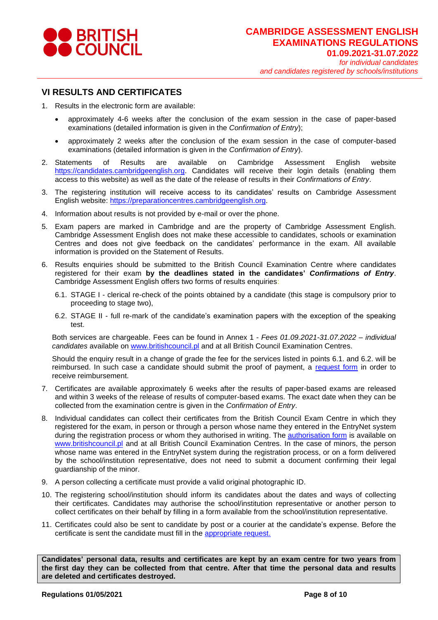

## **VI RESULTS AND CERTIFICATES**

- 1. Results in the electronic form are available:
	- approximately 4-6 weeks after the conclusion of the exam session in the case of paper-based examinations (detailed information is given in the *Confirmation of Entry*);
	- approximately 2 weeks after the conclusion of the exam session in the case of computer-based examinations (detailed information is given in the *Confirmation of Entry*).
- 2. Statements of Results are available on Cambridge Assessment English website [https://candidates.cambridgeenglish.org.](https://candidates.cambridgeenglish.org/) Candidates will receive their login details (enabling them access to this website) as well as the date of the release of results in their *Confirmations of Entry*.
- 3. The registering institution will receive access to its candidates' results on Cambridge Assessment English website: [https://preparationcentres.cambridgeenglish.org.](https://preparationcentres.cambridgeenglish.org/)
- 4. Information about results is not provided by e-mail or over the phone.
- 5. Exam papers are marked in Cambridge and are the property of Cambridge Assessment English. Cambridge Assessment English does not make these accessible to candidates, schools or examination Centres and does not give feedback on the candidates' performance in the exam. All available information is provided on the Statement of Results.
- 6. Results enquiries should be submitted to the British Council Examination Centre where candidates registered for their exam **by the deadlines stated in the candidates'** *Confirmations of Entry*. Cambridge Assessment English offers two forms of results enquiries:
	- 6.1. STAGE I clerical re-check of the points obtained by a candidate (this stage is compulsory prior to proceeding to stage two),
	- 6.2. STAGE II full re-mark of the candidate's examination papers with the exception of the speaking test.

Both services are chargeable. Fees can be found in Annex 1 - *Fees 01.09.2021-31.07.2022 – individual candidates* available on [www.britishcouncil.pl](http://www.britishcouncil.pl/) and at all British Council Examination Centres.

Should the enquiry result in a change of grade the fee for the services listed in points 6.1. and 6.2. will be reimbursed. In such case a candidate should submit the proof of payment, a [request form](https://www.britishcouncil.pl/sites/default/files/internal_sa_form_gb_16_09_2020_ep_final.pdf) in order to receive reimbursement.

- 7. Certificates are available approximately 6 weeks after the results of paper-based exams are released and within 3 weeks of the release of results of computer-based exams. The exact date when they can be collected from the examination centre is given in the *Confirmation of Entry*.
- 8. Individual candidates can collect their certificates from the British Council Exam Centre in which they registered for the exam, in person or through a person whose name they entered in the EntryNet system during the registration process or whom they authorised in writing. The **authorisation form** is available on [www.britishcouncil.pl](http://www.britishcouncil.pl/) and at all British Council Examination Centres. In the case of minors, the person whose name was entered in the EntryNet system during the registration process, or on a form delivered by the school/institution representative, does not need to submit a document confirming their legal guardianship of the minor.
- 9. A person collecting a certificate must provide a valid original photographic ID.
- 10. The registering school/institution should inform its candidates about the dates and ways of collecting their certificates. Candidates may authorise the school/institution representative or another person to collect certificates on their behalf by filling in a form available from the school/institution representative.
- 11. Certificates could also be sent to candidate by post or a courier at the candidate's expense. Before the certificate is sent the candidate must fill in the [appropriate request.](https://www.britishcouncil.pl/sites/default/files/authorisation_to_send_certificate_by_post_gb_od_1_09_2017_bc_i_centra_25.07.2017.pdf)

**Candidates' personal data, results and certificates are kept by an exam centre for two years from the first day they can be collected from that centre. After that time the personal data and results are deleted and certificates destroyed.**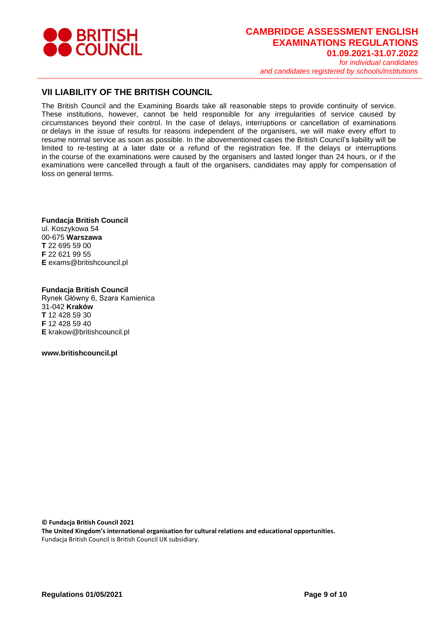

# **CAMBRIDGE ASSESSMENT ENGLISH EXAMINATIONS REGULATIONS 01.09.2021-31.07.2022** *for individual candidates*

*and candidates registered by schools/institutions*

# **VII LIABILITY OF THE BRITISH COUNCIL**

The British Council and the Examining Boards take all reasonable steps to provide continuity of service. These institutions, however, cannot be held responsible for any irregularities of service caused by circumstances beyond their control. In the case of delays, interruptions or cancellation of examinations or delays in the issue of results for reasons independent of the organisers, we will make every effort to resume normal service as soon as possible. In the abovementioned cases the British Council's liability will be limited to re-testing at a later date or a refund of the registration fee. If the delays or interruptions in the course of the examinations were caused by the organisers and lasted longer than 24 hours, or if the examinations were cancelled through a fault of the organisers, candidates may apply for compensation of loss on general terms.

**Fundacja British Council** ul. Koszykowa 54 00-675 **Warszawa T** 22 695 59 00 **F** 22 621 99 55 **E** exams@britishcouncil.pl

**Fundacja British Council** Rynek Główny 6, Szara Kamienica 31-042 **Kraków T** 12 428 59 30 **F** 12 428 59 40 **E** krakow@britishcouncil.pl

**www.britishcouncil.pl**

**© Fundacja British Council 2021**

**The United Kingdom's international organisation for cultural relations and educational opportunities.** Fundacja British Council is British Council UK subsidiary.